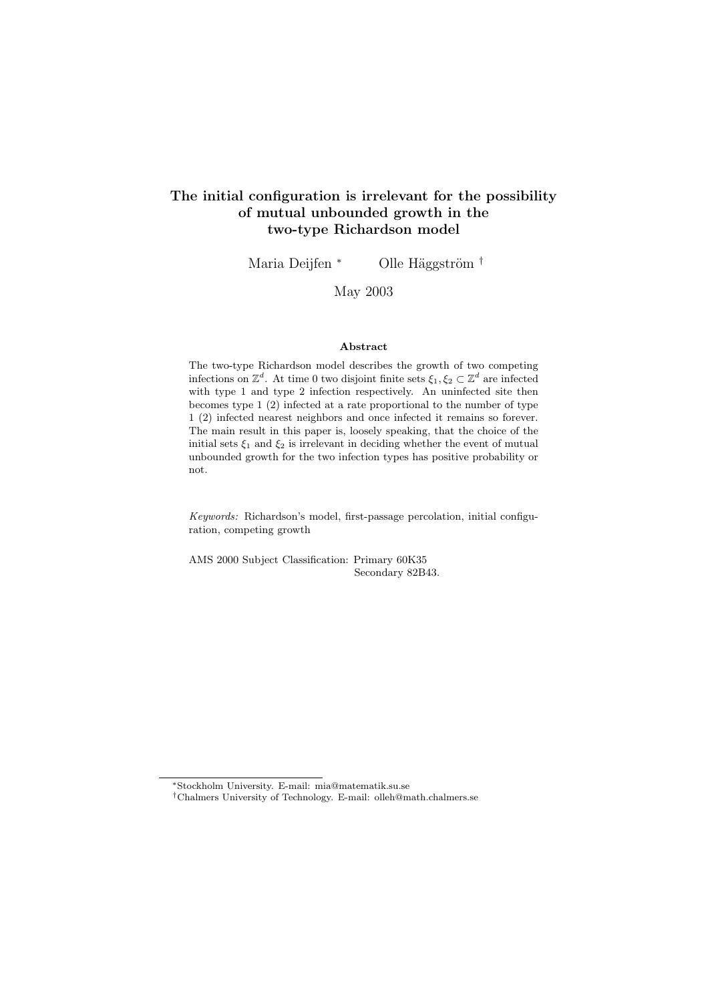#### The initial configuration is irrelevant for the possibility of mutual unbounded growth in the two-type Richardson model

Maria Deijfen <sup>\*</sup> Olle Häggström <sup>†</sup>

May 2003

#### Abstract

The two-type Richardson model describes the growth of two competing infections on  $\mathbb{Z}^d$ . At time 0 two disjoint finite sets  $\xi_1, \xi_2 \subset \mathbb{Z}^d$  are infected with type 1 and type 2 infection respectively. An uninfected site then becomes type 1 (2) infected at a rate proportional to the number of type 1 (2) infected nearest neighbors and once infected it remains so forever. The main result in this paper is, loosely speaking, that the choice of the initial sets  $\xi_1$  and  $\xi_2$  is irrelevant in deciding whether the event of mutual unbounded growth for the two infection types has positive probability or not.

Keywords: Richardson's model, first-passage percolation, initial configuration, competing growth

AMS 2000 Subject Classification: Primary 60K35 Secondary 82B43.

<sup>∗</sup>Stockholm University. E-mail: mia@matematik.su.se

<sup>†</sup>Chalmers University of Technology. E-mail: olleh@math.chalmers.se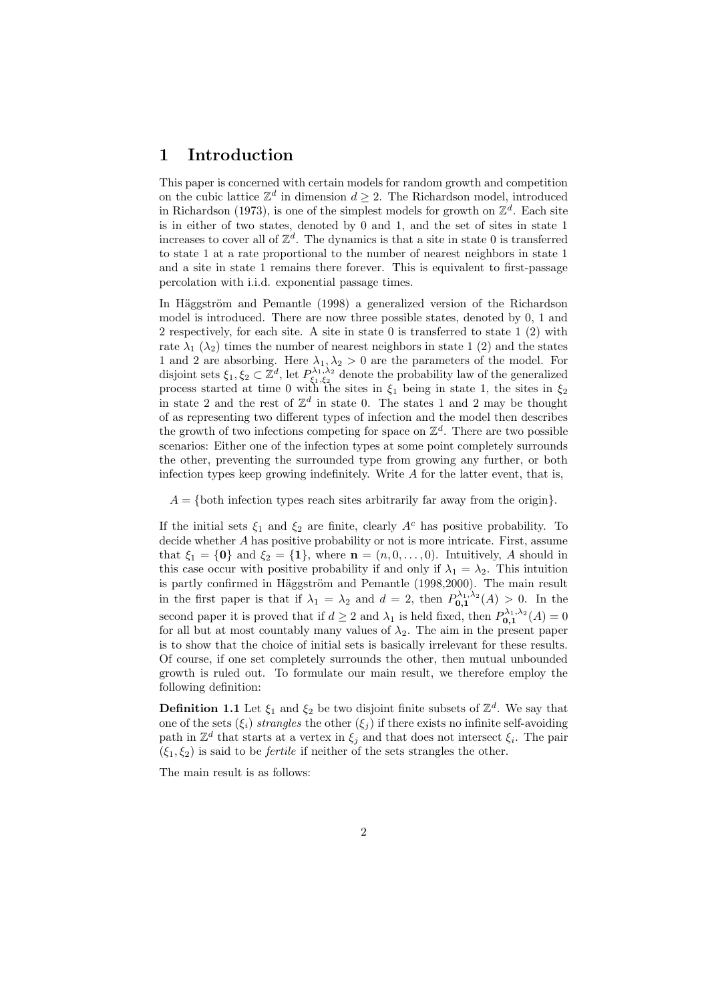#### 1 Introduction

This paper is concerned with certain models for random growth and competition on the cubic lattice  $\mathbb{Z}^d$  in dimension  $d \geq 2$ . The Richardson model, introduced in Richardson (1973), is one of the simplest models for growth on  $\mathbb{Z}^d$ . Each site is in either of two states, denoted by 0 and 1, and the set of sites in state 1 increases to cover all of  $\mathbb{Z}^d$ . The dynamics is that a site in state 0 is transferred to state 1 at a rate proportional to the number of nearest neighbors in state 1 and a site in state 1 remains there forever. This is equivalent to first-passage percolation with i.i.d. exponential passage times.

In Häggström and Pemantle (1998) a generalized version of the Richardson model is introduced. There are now three possible states, denoted by 0, 1 and 2 respectively, for each site. A site in state 0 is transferred to state 1 (2) with rate  $\lambda_1$  ( $\lambda_2$ ) times the number of nearest neighbors in state 1 (2) and the states 1 and 2 are absorbing. Here  $\lambda_1, \lambda_2 > 0$  are the parameters of the model. For disjoint sets  $\xi_1, \xi_2 \subset \mathbb{Z}^d$ , let  $P_{\xi_1, \xi_2}^{\lambda_1, \lambda_2}$  denote the probability law of the generalized process started at time 0 with the sites in  $\xi_1$  being in state 1, the sites in  $\xi_2$ in state 2 and the rest of  $\mathbb{Z}^d$  in state 0. The states 1 and 2 may be thought of as representing two different types of infection and the model then describes the growth of two infections competing for space on  $\mathbb{Z}^d$ . There are two possible scenarios: Either one of the infection types at some point completely surrounds the other, preventing the surrounded type from growing any further, or both infection types keep growing indefinitely. Write  $A$  for the latter event, that is,

 $A = \{$  both infection types reach sites arbitrarily far away from the origin $\}$ .

If the initial sets  $\xi_1$  and  $\xi_2$  are finite, clearly  $A^c$  has positive probability. To decide whether A has positive probability or not is more intricate. First, assume that  $\xi_1 = \{0\}$  and  $\xi_2 = \{1\}$ , where  $\mathbf{n} = (n, 0, \dots, 0)$ . Intuitively, A should in this case occur with positive probability if and only if  $\lambda_1 = \lambda_2$ . This intuition is partly confirmed in Häggström and Pemantle (1998,2000). The main result in the first paper is that if  $\lambda_1 = \lambda_2$  and  $d = 2$ , then  $P_{0,1}^{\lambda_1,\lambda_2}(A) > 0$ . In the second paper it is proved that if  $d \geq 2$  and  $\lambda_1$  is held fixed, then  $P_{0,1}^{\lambda_1,\lambda_2}(A) = 0$ for all but at most countably many values of  $\lambda_2$ . The aim in the present paper is to show that the choice of initial sets is basically irrelevant for these results. Of course, if one set completely surrounds the other, then mutual unbounded growth is ruled out. To formulate our main result, we therefore employ the following definition:

**Definition 1.1** Let  $\xi_1$  and  $\xi_2$  be two disjoint finite subsets of  $\mathbb{Z}^d$ . We say that one of the sets  $(\xi_i)$  strangles the other  $(\xi_j)$  if there exists no infinite self-avoiding path in  $\mathbb{Z}^d$  that starts at a vertex in  $\xi_j$  and that does not intersect  $\xi_i$ . The pair  $(\xi_1, \xi_2)$  is said to be *fertile* if neither of the sets strangles the other.

The main result is as follows: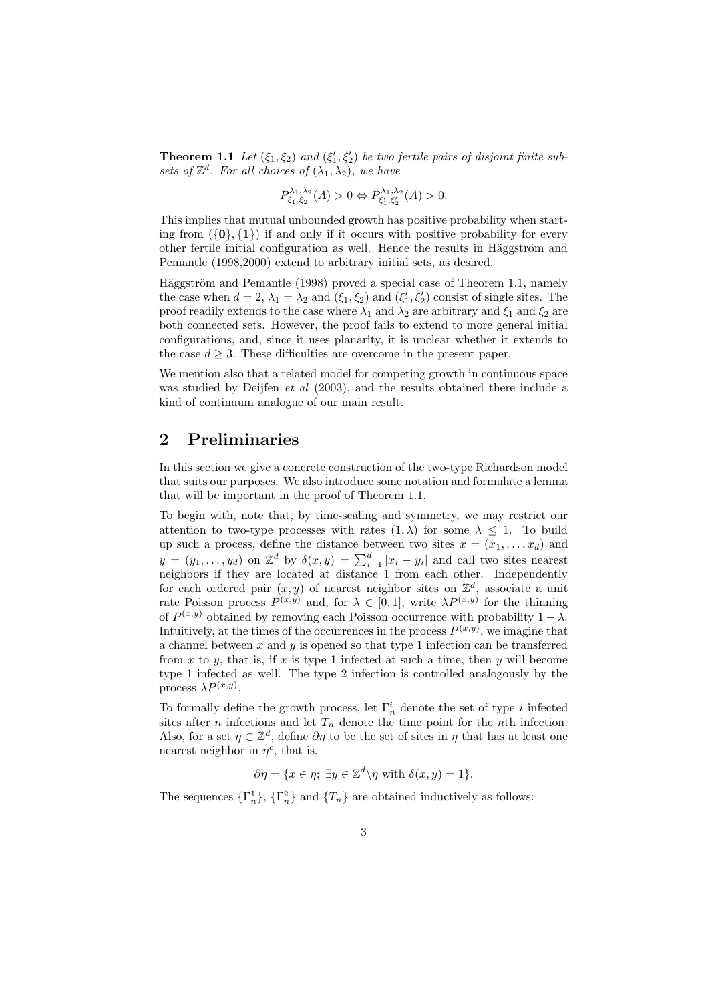**Theorem 1.1** Let  $(\xi_1, \xi_2)$  and  $(\xi'_1, \xi'_2)$  be two fertile pairs of disjoint finite subsets of  $\mathbb{Z}^d$ . For all choices of  $(\lambda_1, \lambda_2)$ , we have

$$
P_{\xi_1,\xi_2}^{\lambda_1,\lambda_2}(A) > 0 \Leftrightarrow P_{\xi_1',\xi_2'}^{\lambda_1,\lambda_2}(A) > 0.
$$

This implies that mutual unbounded growth has positive probability when starting from  $({0}, {1})$  if and only if it occurs with positive probability for every other fertile initial configuration as well. Hence the results in Häggström and Pemantle (1998,2000) extend to arbitrary initial sets, as desired.

Häggström and Pemantle (1998) proved a special case of Theorem 1.1, namely the case when  $d = 2$ ,  $\lambda_1 = \lambda_2$  and  $(\xi_1, \xi_2)$  and  $(\xi'_1, \xi'_2)$  consist of single sites. The proof readily extends to the case where  $\lambda_1$  and  $\lambda_2$  are arbitrary and  $\xi_1$  and  $\xi_2$  are both connected sets. However, the proof fails to extend to more general initial configurations, and, since it uses planarity, it is unclear whether it extends to the case  $d \geq 3$ . These difficulties are overcome in the present paper.

We mention also that a related model for competing growth in continuous space was studied by Deijfen *et al* (2003), and the results obtained there include a kind of continuum analogue of our main result.

### 2 Preliminaries

In this section we give a concrete construction of the two-type Richardson model that suits our purposes. We also introduce some notation and formulate a lemma that will be important in the proof of Theorem 1.1.

To begin with, note that, by time-scaling and symmetry, we may restrict our attention to two-type processes with rates  $(1, \lambda)$  for some  $\lambda \leq 1$ . To build up such a process, define the distance between two sites  $x = (x_1, \ldots, x_d)$  and  $y = (y_1, \ldots, y_d)$  on  $\mathbb{Z}^d$  by  $\delta(x, y) = \sum_{i=1}^d |x_i - y_i|$  and call two sites nearest neighbors if they are located at distance 1 from each other. Independently for each ordered pair  $(x, y)$  of nearest neighbor sites on  $\mathbb{Z}^d$ , associate a unit rate Poisson process  $P^{(x,y)}$  and, for  $\lambda \in [0,1]$ , write  $\lambda P^{(x,y)}$  for the thinning of  $P^{(x,y)}$  obtained by removing each Poisson occurrence with probability  $1 - \lambda$ . Intuitively, at the times of the occurrences in the process  $P^{(x,y)}$ , we imagine that a channel between  $x$  and  $y$  is opened so that type 1 infection can be transferred from x to y, that is, if x is type 1 infected at such a time, then y will become type 1 infected as well. The type 2 infection is controlled analogously by the process  $\lambda P^{(x,y)}$ .

To formally define the growth process, let  $\Gamma_n^i$  denote the set of type *i* infected sites after *n* infections and let  $T_n$  denote the time point for the *n*th infection. Also, for a set  $\eta \subset \mathbb{Z}^d$ , define  $\partial \eta$  to be the set of sites in  $\eta$  that has at least one nearest neighbor in  $\eta^c$ , that is,

 $\partial \eta = \{x \in \eta; \ \exists y \in \mathbb{Z}^d \backslash \eta \text{ with } \delta(x, y) = 1\}.$ 

The sequences  $\{\Gamma_n^1\}$ ,  $\{\Gamma_n^2\}$  and  $\{T_n\}$  are obtained inductively as follows: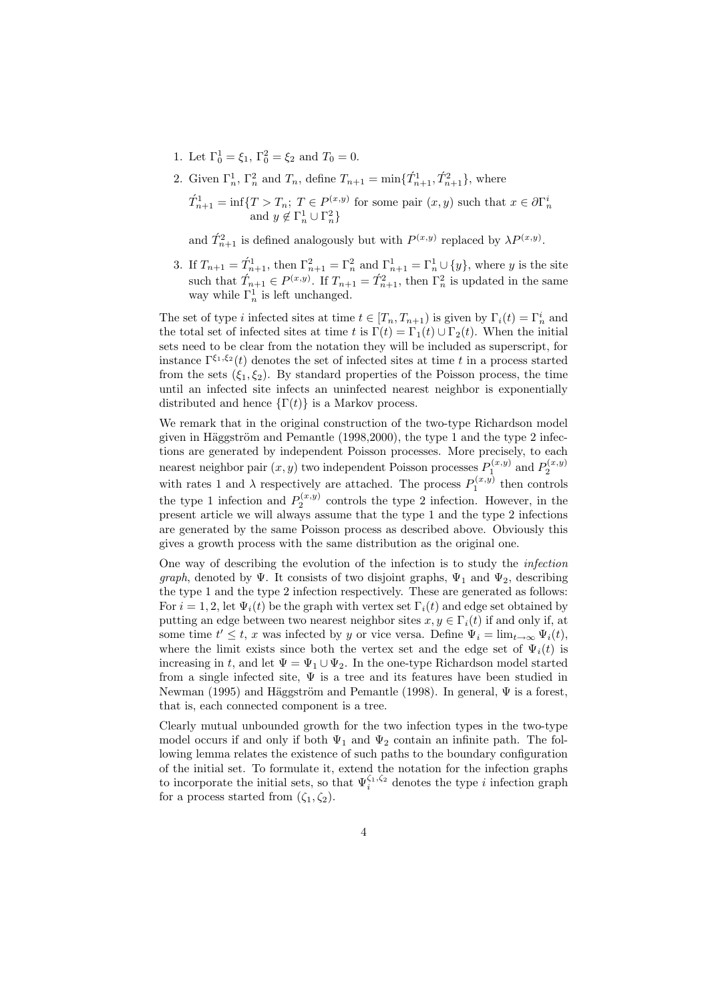- 1. Let  $\Gamma_0^1 = \xi_1, \Gamma_0^2 = \xi_2$  and  $T_0 = 0$ .
- 2. Given  $\Gamma_n^1$ ,  $\Gamma_n^2$  and  $T_n$ , define  $T_{n+1} = \min\{\tilde{T}_{n+1}^1, \tilde{T}_{n+1}^2\}$ , where

 $\hat{T}_{n+1}^1 = \inf\{T > T_n; T \in P^{(x,y)} \text{ for some pair } (x,y) \text{ such that } x \in \partial\Gamma_n^i \text{ and } y \notin \Gamma_n^1 \cup \Gamma_n^2 \}$ 

and  $\hat{T}_{n+1}^2$  is defined analogously but with  $P^{(x,y)}$  replaced by  $\lambda P^{(x,y)}$ .

3. If  $T_{n+1} = T_{n+1}^1$ , then  $\Gamma_{n+1}^2 = \Gamma_n^2$  and  $\Gamma_{n+1}^1 = \Gamma_n^1 \cup \{y\}$ , where y is the site such that  $\hat{T}_{n+1} \in P^{(x,y)}$ . If  $T_{n+1} = \hat{T}_{n+1}^2$ , then  $\Gamma_n^2$  is updated in the same way while  $\Gamma_n^1$  is left unchanged.

The set of type *i* infected sites at time  $t \in [T_n, T_{n+1})$  is given by  $\Gamma_i(t) = \Gamma_n^i$  and the total set of infected sites at time t is  $\Gamma(t) = \Gamma_1(t) \cup \Gamma_2(t)$ . When the initial sets need to be clear from the notation they will be included as superscript, for instance  $\Gamma^{\xi_1,\xi_2}(t)$  denotes the set of infected sites at time t in a process started from the sets  $(\xi_1, \xi_2)$ . By standard properties of the Poisson process, the time until an infected site infects an uninfected nearest neighbor is exponentially distributed and hence  $\{\Gamma(t)\}\$ is a Markov process.

We remark that in the original construction of the two-type Richardson model given in Häggström and Pemantle  $(1998,2000)$ , the type 1 and the type 2 infections are generated by independent Poisson processes. More precisely, to each nearest neighbor pair  $(x, y)$  two independent Poisson processes  $P_1^{(x,y)}$  and  $P_2^{(x,y)}$ with rates 1 and  $\lambda$  respectively are attached. The process  $P_1^{(x,y)}$  then controls the type 1 infection and  $P_2^{(x,y)}$  controls the type 2 infection. However, in the present article we will always assume that the type 1 and the type 2 infections are generated by the same Poisson process as described above. Obviously this gives a growth process with the same distribution as the original one.

One way of describing the evolution of the infection is to study the infection graph, denoted by Ψ. It consists of two disjoint graphs,  $\Psi_1$  and  $\Psi_2$ , describing the type 1 and the type 2 infection respectively. These are generated as follows: For  $i = 1, 2$ , let  $\Psi_i(t)$  be the graph with vertex set  $\Gamma_i(t)$  and edge set obtained by putting an edge between two nearest neighbor sites  $x, y \in \Gamma_i(t)$  if and only if, at some time  $t' \leq t$ , x was infected by y or vice versa. Define  $\Psi_i = \lim_{t \to \infty} \Psi_i(t)$ , where the limit exists since both the vertex set and the edge set of  $\Psi_i(t)$  is increasing in t, and let  $\Psi = \Psi_1 \cup \Psi_2$ . In the one-type Richardson model started from a single infected site,  $\Psi$  is a tree and its features have been studied in Newman (1995) and Häggström and Pemantle (1998). In general,  $\Psi$  is a forest, that is, each connected component is a tree.

Clearly mutual unbounded growth for the two infection types in the two-type model occurs if and only if both  $\Psi_1$  and  $\Psi_2$  contain an infinite path. The following lemma relates the existence of such paths to the boundary configuration of the initial set. To formulate it, extend the notation for the infection graphs to incorporate the initial sets, so that  $\Psi_i^{\zeta_1,\zeta_2}$  denotes the type *i* infection graph for a process started from  $(\zeta_1, \zeta_2)$ .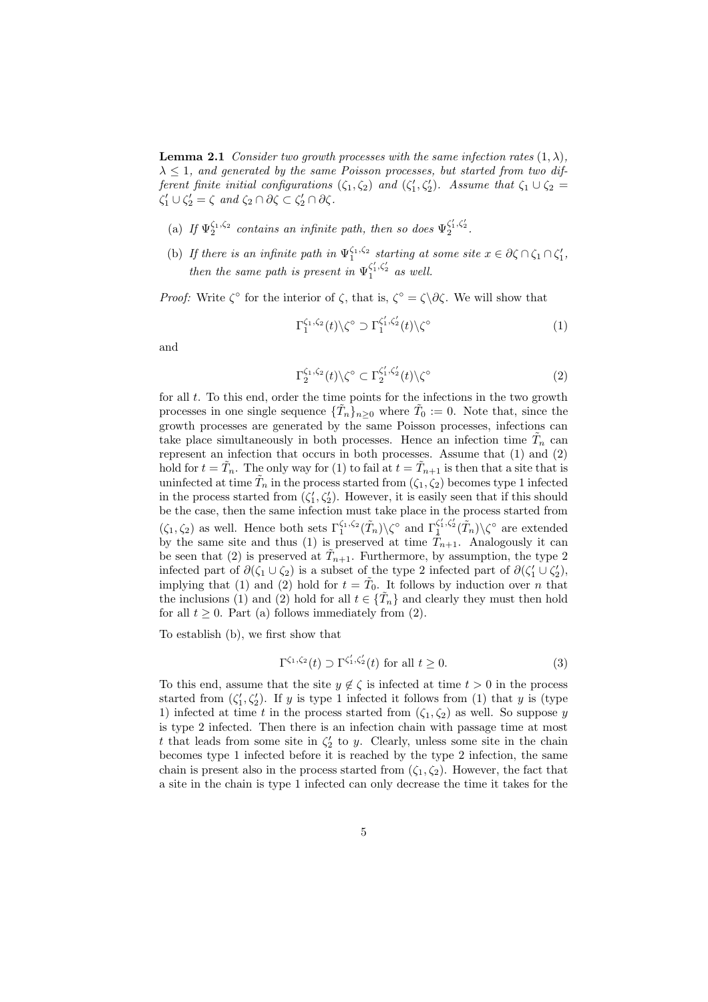**Lemma 2.1** Consider two growth processes with the same infection rates  $(1, \lambda)$ .  $\lambda \leq 1$ , and generated by the same Poisson processes, but started from two different finite initial configurations  $(\zeta_1, \zeta_2)$  and  $(\zeta'_1, \zeta'_2)$ . Assume that  $\zeta_1 \cup \zeta_2 =$  $\zeta'_1 \cup \zeta'_2 = \zeta \text{ and } \zeta_2 \cap \partial \zeta \subset \zeta'_2 \cap \partial \zeta.$ 

- (a) If  $\Psi_2^{\zeta_1,\zeta_2}$  contains an infinite path, then so does  $\Psi_2^{\zeta'_1,\zeta'_2}$ .
- (b) If there is an infinite path in  $\Psi_1^{\zeta_1,\zeta_2}$  starting at some site  $x \in \partial \zeta \cap \zeta_1 \cap \zeta_1'$ , then the same path is present in  $\Psi_1^{\zeta'_1,\zeta'_2}$  as well.

*Proof:* Write  $\zeta^{\circ}$  for the interior of  $\zeta$ , that is,  $\zeta^{\circ} = \zeta \setminus \partial \zeta$ . We will show that

$$
\Gamma_1^{\zeta_1,\zeta_2}(t)\backslash\zeta^\circ \supset \Gamma_1^{\zeta_1',\zeta_2'}(t)\backslash\zeta^\circ \tag{1}
$$

and

$$
\Gamma_2^{\zeta_1,\zeta_2}(t)\backslash\zeta^\circ \subset \Gamma_2^{\zeta_1',\zeta_2'}(t)\backslash\zeta^\circ \tag{2}
$$

for all t. To this end, order the time points for the infections in the two growth processes in one single sequence  $\{\tilde{T}_n\}_{n\geq 0}$  where  $\tilde{T}_0 := 0$ . Note that, since the growth processes are generated by the same Poisson processes, infections can take place simultaneously in both processes. Hence an infection time  $\tilde{T}_n$  can represent an infection that occurs in both processes. Assume that (1) and (2) hold for  $t = \tilde{T}_n$ . The only way for (1) to fail at  $t = \tilde{T}_{n+1}$  is then that a site that is uninfected at time  $\tilde{T}_n$  in the process started from  $(\zeta_1, \zeta_2)$  becomes type 1 infected in the process started from  $(\zeta_1', \zeta_2')$ . However, it is easily seen that if this should be the case, then the same infection must take place in the process started from  $(\zeta_1, \zeta_2)$  as well. Hence both sets  $\Gamma_1^{\zeta_1, \zeta_2}(\tilde{T}_n) \setminus \zeta^{\circ}$  and  $\Gamma_1^{\zeta'_1, \zeta'_2}(\tilde{T}_n) \setminus \zeta^{\circ}$  are extended by the same site and thus (1) is preserved at time  $\tilde{T}_{n+1}$ . Analogously it can be seen that (2) is preserved at  $\tilde{T}_{n+1}$ . Furthermore, by assumption, the type 2 infected part of  $\partial(\zeta_1 \cup \zeta_2)$  is a subset of the type 2 infected part of  $\partial(\zeta_1' \cup \zeta_2'),$ implying that (1) and (2) hold for  $t = \tilde{T}_0$ . It follows by induction over n that the inclusions (1) and (2) hold for all  $t \in {\{\tilde{T}_n\}}$  and clearly they must then hold for all  $t \geq 0$ . Part (a) follows immediately from (2).

To establish (b), we first show that

$$
\Gamma^{\zeta_1,\zeta_2}(t) \supset \Gamma^{\zeta_1',\zeta_2'}(t) \text{ for all } t \ge 0.
$$
 (3)

To this end, assume that the site  $y \notin \zeta$  is infected at time  $t > 0$  in the process started from  $(\zeta_1', \zeta_2')$ . If y is type 1 infected it follows from (1) that y is (type 1) infected at time t in the process started from  $(\zeta_1, \zeta_2)$  as well. So suppose y is type 2 infected. Then there is an infection chain with passage time at most t that leads from some site in  $\zeta_2'$  to y. Clearly, unless some site in the chain becomes type 1 infected before it is reached by the type 2 infection, the same chain is present also in the process started from  $(\zeta_1, \zeta_2)$ . However, the fact that a site in the chain is type 1 infected can only decrease the time it takes for the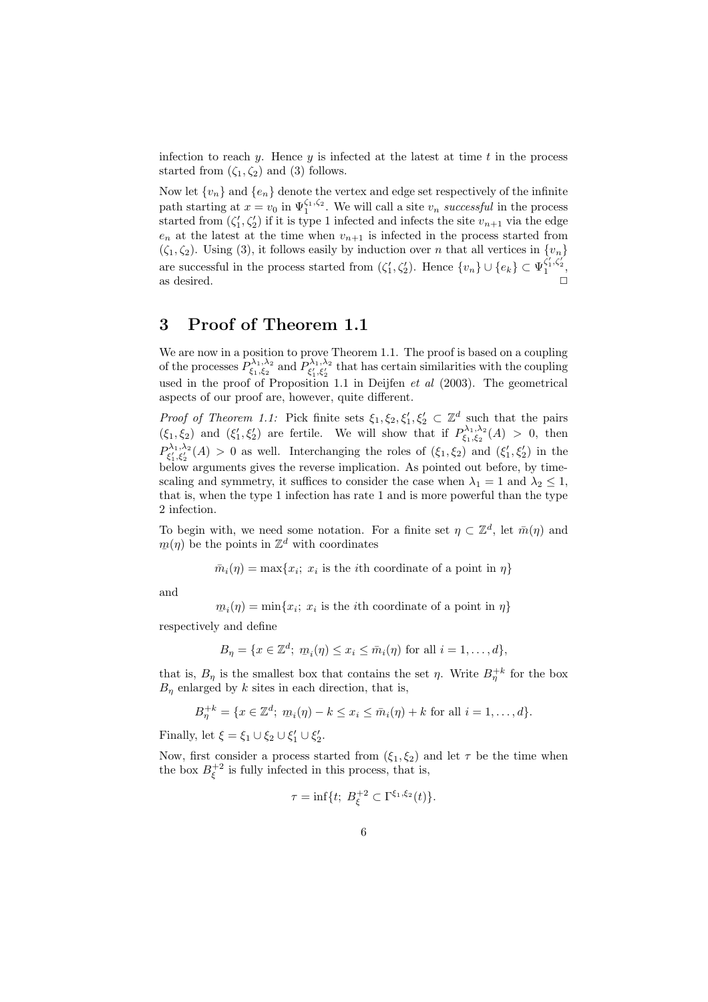infection to reach y. Hence y is infected at the latest at time  $t$  in the process started from  $(\zeta_1, \zeta_2)$  and (3) follows.

Now let  $\{v_n\}$  and  $\{e_n\}$  denote the vertex and edge set respectively of the infinite path starting at  $x = v_0$  in  $\Psi_1^{\zeta_1,\zeta_2}$ . We will call a site  $v_n$  successful in the process started from  $(\zeta_1', \zeta_2')$  if it is type 1 infected and infects the site  $v_{n+1}$  via the edge  $e_n$  at the latest at the time when  $v_{n+1}$  is infected in the process started from  $(\zeta_1, \zeta_2)$ . Using (3), it follows easily by induction over *n* that all vertices in  $\{v_n\}$ are successful in the process started from  $(\zeta_1', \zeta_2')$ . Hence  $\{v_n\} \cup \{e_k\} \subset \Psi_1^{\zeta_1', \zeta_2'},$ as desired.  $\Box$ 

# 3 Proof of Theorem 1.1

We are now in a position to prove Theorem 1.1. The proof is based on a coupling of the processes  $P_{\xi_1,\xi_2}^{\lambda_1,\lambda_2}$  and  $P_{\xi_1',\xi_2'}^{\lambda_1,\lambda_2}$  that has certain similarities with the coupling used in the proof of Proposition 1.1 in Deijfen  $et$  al (2003). The geometrical aspects of our proof are, however, quite different.

*Proof of Theorem 1.1:* Pick finite sets  $\xi_1, \xi_2, \xi'_1, \xi'_2 \subset \mathbb{Z}^d$  such that the pairs  $(\xi_1, \xi_2)$  and  $(\xi'_1, \xi'_2)$  are fertile. We will show that if  $P_{\xi_1, \xi_2}^{\lambda_1, \lambda_2}(A) > 0$ , then  $P_{\xi'_1,\xi'_2}^{\lambda_1,\lambda_2}(A) > 0$  as well. Interchanging the roles of  $(\xi_1,\xi_2)$  and  $(\xi'_1,\xi'_2)$  in the below arguments gives the reverse implication. As pointed out before, by timescaling and symmetry, it suffices to consider the case when  $\lambda_1 = 1$  and  $\lambda_2 \leq 1$ , that is, when the type 1 infection has rate 1 and is more powerful than the type 2 infection.

To begin with, we need some notation. For a finite set  $\eta \subset \mathbb{Z}^d$ , let  $\bar{m}(\eta)$  and  $m(\eta)$  be the points in  $\mathbb{Z}^d$  with coordinates

 $\bar{m}_i(\eta) = \max\{x_i; x_i \text{ is the } i\text{th coordinate of a point in } \eta\}$ 

and

 $m_i(\eta) = \min\{x_i; x_i \text{ is the } i\text{th coordinate of a point in } \eta\}$ 

respectively and define

$$
B_{\eta} = \{x \in \mathbb{Z}^d; \; m_i(\eta) \le x_i \le \bar{m}_i(\eta) \text{ for all } i = 1, \ldots, d\},\
$$

that is,  $B_{\eta}$  is the smallest box that contains the set  $\eta$ . Write  $B_{\eta}^{+k}$  for the box  $B_n$  enlarged by k sites in each direction, that is,

$$
B_{\eta}^{+k} = \{ x \in \mathbb{Z}^d; \; \underline{m}_i(\eta) - k \le x_i \le \bar{m}_i(\eta) + k \; \text{for all} \; i = 1, \dots, d \}.
$$

Finally, let  $\xi = \xi_1 \cup \xi_2 \cup \xi'_1 \cup \xi'_2$ .

Now, first consider a process started from  $(\xi_1, \xi_2)$  and let  $\tau$  be the time when the box  $B_{\xi}^{+2}$  is fully infected in this process, that is,

$$
\tau = \inf\{t; \ B_{\xi}^{+2} \subset \Gamma^{\xi_1,\xi_2}(t)\}.
$$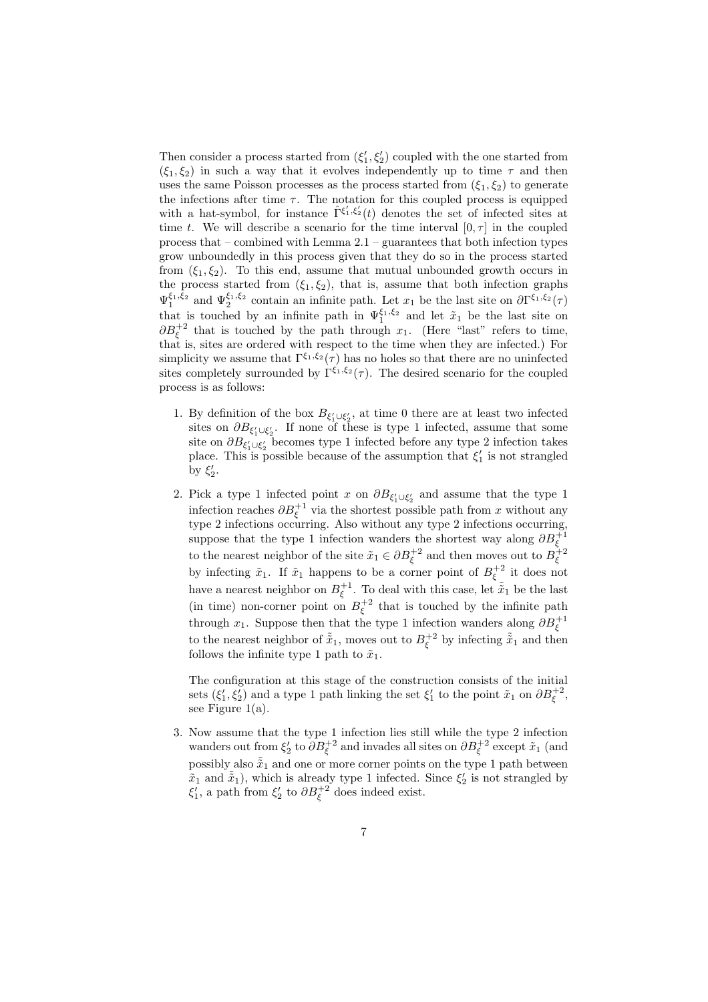Then consider a process started from  $(\xi_1', \xi_2')$  coupled with the one started from  $(\xi_1, \xi_2)$  in such a way that it evolves independently up to time  $\tau$  and then uses the same Poisson processes as the process started from  $(\xi_1, \xi_2)$  to generate the infections after time  $\tau$ . The notation for this coupled process is equipped with a hat-symbol, for instance  $\hat{\Gamma}^{\xi'_1,\xi'_2}(t)$  denotes the set of infected sites at time t. We will describe a scenario for the time interval  $[0, \tau]$  in the coupled process that – combined with Lemma  $2.1$  – guarantees that both infection types grow unboundedly in this process given that they do so in the process started from  $(\xi_1, \xi_2)$ . To this end, assume that mutual unbounded growth occurs in the process started from  $(\xi_1, \xi_2)$ , that is, assume that both infection graphs  $\Psi_1^{\xi_1,\xi_2}$  and  $\Psi_2^{\xi_1,\xi_2}$  contain an infinite path. Let  $x_1$  be the last site on  $\partial \Gamma^{\xi_1,\xi_2}(\tau)$ that is touched by an infinite path in  $\Psi_1^{\xi_1,\xi_2}$  and let  $\tilde{x}_1$  be the last site on  $\partial B_{\xi}^{+2}$  that is touched by the path through  $x_1$ . (Here "last" refers to time, that is, sites are ordered with respect to the time when they are infected.) For simplicity we assume that  $\Gamma^{\xi_1,\xi_2}(\tau)$  has no holes so that there are no uninfected sites completely surrounded by  $\Gamma^{\xi_1,\xi_2}(\tau)$ . The desired scenario for the coupled process is as follows:

- 1. By definition of the box  $B_{\xi_1' \cup \xi_2'}$ , at time 0 there are at least two infected sites on  $\partial B_{\xi'_1 \cup \xi'_2}$ . If none of these is type 1 infected, assume that some site on  $\partial B_{\xi_1'\cup \xi_2'}$  becomes type 1 infected before any type 2 infection takes place. This is possible because of the assumption that  $\xi_1'$  is not strangled by  $\xi_2'$ .
- 2. Pick a type 1 infected point x on  $\partial B_{\xi_1' \cup \xi_2'}$  and assume that the type 1 infection reaches  $\partial B_{\xi}^{+1}$  via the shortest possible path from x without any type 2 infections occurring. Also without any type 2 infections occurring, suppose that the type 1 infection wanders the shortest way along  $\partial B_{\xi}^{+1}$ to the nearest neighbor of the site  $\tilde{x}_1 \in \partial B_{\xi}^{+2}$  and then moves out to  $B_{\xi}^{+2}$ by infecting  $\tilde{x}_1$ . If  $\tilde{x}_1$  happens to be a corner point of  $B_{\xi}^{+2}$  it does not have a nearest neighbor on  $B_{\xi}^{+1}$ . To deal with this case, let  $\tilde{\tilde{x}}_1$  be the last (in time) non-corner point on  $B_{\xi}^{+2}$  that is touched by the infinite path through  $x_1$ . Suppose then that the type 1 infection wanders along  $\partial B_{\xi}^{+1}$ to the nearest neighbor of  $\tilde{x}_1$ , moves out to  $B_{\xi}^{+2}$  by infecting  $\tilde{x}_1$  and then follows the infinite type 1 path to  $\tilde{x}_1$ .

The configuration at this stage of the construction consists of the initial sets  $(\xi'_1, \xi'_2)$  and a type 1 path linking the set  $\xi'_1$  to the point  $\tilde{x}_1$  on  $\partial B_{\xi}^{+2}$ , see Figure 1(a).

3. Now assume that the type 1 infection lies still while the type 2 infection wanders out from  $\xi_2'$  to  $\partial B_{\xi}^{+2}$  and invades all sites on  $\partial B_{\xi}^{+2}$  except  $\tilde{x}_1$  (and possibly also  $\tilde{x}_1$  and one or more corner points on the type 1 path between  $\tilde{x}_1$  and  $\tilde{\tilde{x}}_1$ ), which is already type 1 infected. Since  $\xi_2$  is not strangled by  $\xi_1'$ , a path from  $\xi_2'$  to  $\partial B_{\xi}^{+2}$  does indeed exist.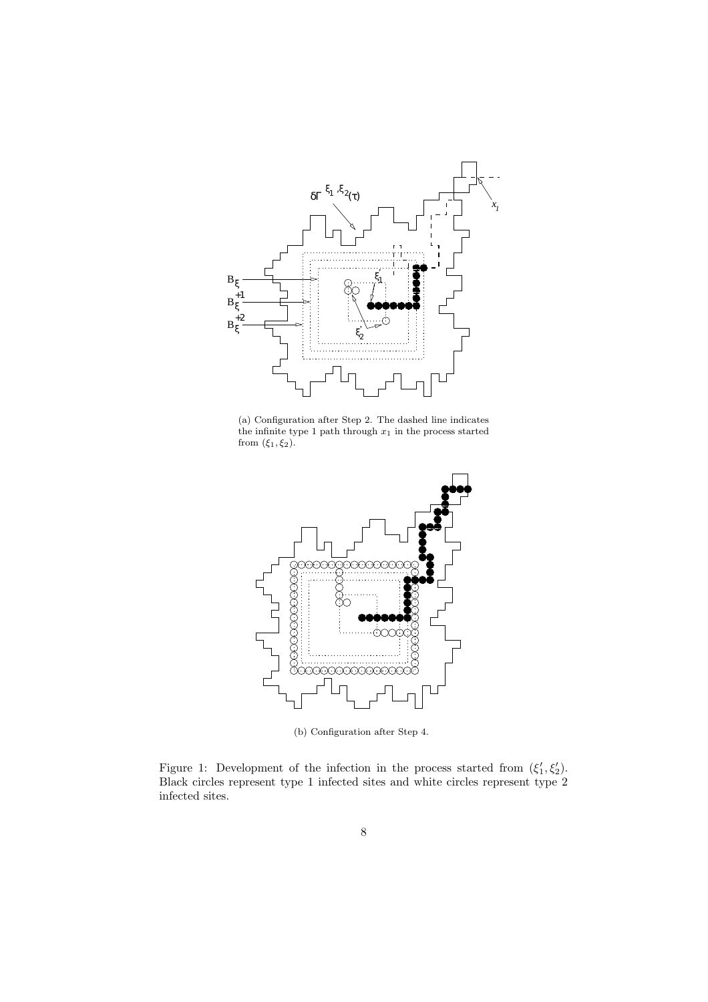

(a) Configuration after Step 2. The dashed line indicates the infinite type 1 path through  $x_1$  in the process started from  $(\xi_1, \xi_2)$ .



(b) Configuration after Step 4.

Figure 1: Development of the infection in the process started from  $(\xi'_1, \xi'_2)$ . Black circles represent type 1 infected sites and white circles represent type 2 infected sites.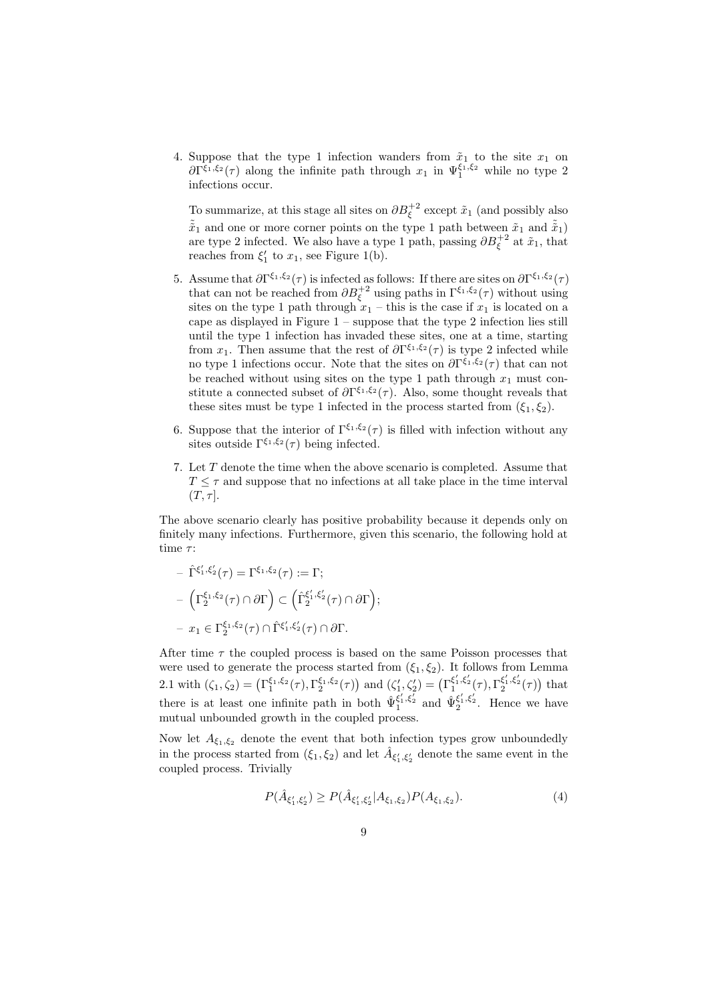4. Suppose that the type 1 infection wanders from  $\tilde{x}_1$  to the site  $x_1$  on  $\partial \Gamma^{\xi_1,\xi_2}(\tau)$  along the infinite path through  $x_1$  in  $\Psi_1^{\xi_1,\xi_2}$  while no type 2 infections occur.

To summarize, at this stage all sites on  $\partial B_{\xi}^{+2}$  except  $\tilde{x}_1$  (and possibly also  $\tilde{\tilde{x}}_1$  and one or more corner points on the type 1 path between  $\tilde{x}_1$  and  $\tilde{\tilde{x}}_1$ ) are type 2 infected. We also have a type 1 path, passing  $\partial B_{\xi}^{+2}$  at  $\tilde{x}_1$ , that reaches from  $\xi_1'$  to  $x_1$ , see Figure 1(b).

- 5. Assume that  $\partial \Gamma^{\xi_1,\xi_2}(\tau)$  is infected as follows: If there are sites on  $\partial \Gamma^{\xi_1,\xi_2}(\tau)$ that can not be reached from  $\partial B_{\xi}^{+2}$  using paths in  $\Gamma^{\xi_1,\xi_2}(\tau)$  without using sites on the type 1 path through  $x_1$  – this is the case if  $x_1$  is located on a cape as displayed in Figure  $1$  – suppose that the type  $2$  infection lies still until the type 1 infection has invaded these sites, one at a time, starting from  $x_1$ . Then assume that the rest of  $\partial \Gamma^{\xi_1,\xi_2}(\tau)$  is type 2 infected while no type 1 infections occur. Note that the sites on  $\partial \Gamma^{\xi_1,\xi_2}(\tau)$  that can not be reached without using sites on the type 1 path through  $x_1$  must constitute a connected subset of  $\partial \Gamma^{\xi_1,\xi_2}(\tau)$ . Also, some thought reveals that these sites must be type 1 infected in the process started from  $(\xi_1, \xi_2)$ .
- 6. Suppose that the interior of  $\Gamma^{\xi_1,\xi_2}(\tau)$  is filled with infection without any sites outside  $\Gamma^{\xi_1,\xi_2}(\tau)$  being infected.
- 7. Let T denote the time when the above scenario is completed. Assume that  $T \leq \tau$  and suppose that no infections at all take place in the time interval  $(T, \tau]$ .

The above scenario clearly has positive probability because it depends only on finitely many infections. Furthermore, given this scenario, the following hold at time  $\tau$ :

$$
- \hat{\Gamma}^{\xi'_1, \xi'_2}(\tau) = \Gamma^{\xi_1, \xi_2}(\tau) := \Gamma;
$$
  

$$
- \left( \Gamma^{\xi_1, \xi_2}_2(\tau) \cap \partial \Gamma \right) \subset \left( \hat{\Gamma}^{\xi'_1, \xi'_2}_2(\tau) \cap \partial \Gamma \right);
$$
  

$$
- x_1 \in \Gamma^{\xi_1, \xi_2}_2(\tau) \cap \hat{\Gamma}^{\xi'_1, \xi'_2}(\tau) \cap \partial \Gamma.
$$

After time  $\tau$  the coupled process is based on the same Poisson processes that were used to generate the process started from  $(\xi_1, \xi_2)$ . It follows from Lemma 2.1 with  $(\zeta_1, \zeta_2) = (\Gamma_1^{\xi_1, \xi_2}(\tau), \Gamma_2^{\xi_1, \xi_2}(\tau))$  and  $(\zeta_1', \zeta_2') = (\Gamma_1^{\xi_1', \xi_2'}(\tau), \Gamma_2^{\xi_1', \xi_2'}(\tau))$  that there is at least one infinite path in both  $\hat{\Psi}_1^{\xi'_1,\xi'_2}$  and  $\hat{\Psi}_2^{\xi'_1,\xi'_2}$ . Hence we have mutual unbounded growth in the coupled process.

Now let  $A_{\xi_1,\xi_2}$  denote the event that both infection types grow unboundedly in the process started from  $(\xi_1, \xi_2)$  and let  $\hat{A}_{\xi'_1, \xi'_2}$  denote the same event in the coupled process. Trivially

$$
P(\hat{A}_{\xi_1',\xi_2'}) \ge P(\hat{A}_{\xi_1',\xi_2'} | A_{\xi_1,\xi_2}) P(A_{\xi_1,\xi_2}). \tag{4}
$$